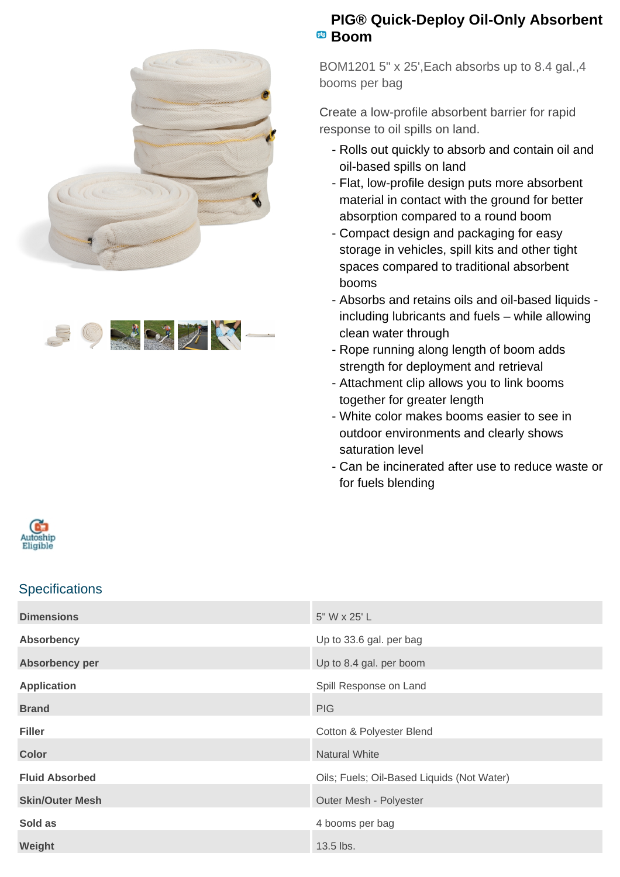



## **PIG® Quick-Deploy Oil-Only Absorbent Boom**

BOM1201 5" x 25',Each absorbs up to 8.4 gal.,4 booms per bag

Create a low-profile absorbent barrier for rapid response to oil spills on land.

- Rolls out quickly to absorb and contain oil and oil-based spills on land
- Flat, low-profile design puts more absorbent material in contact with the ground for better absorption compared to a round boom
- Compact design and packaging for easy storage in vehicles, spill kits and other tight spaces compared to traditional absorbent booms
- Absorbs and retains oils and oil-based liquids including lubricants and fuels – while allowing clean water through
- Rope running along length of boom adds strength for deployment and retrieval
- Attachment clip allows you to link booms together for greater length
- White color makes booms easier to see in outdoor environments and clearly shows saturation level
- Can be incinerated after use to reduce waste or for fuels blending



## **Specifications**

| <b>Dimensions</b>      | 5" W x 25' L                               |
|------------------------|--------------------------------------------|
| <b>Absorbency</b>      | Up to 33.6 gal. per bag                    |
| Absorbency per         | Up to 8.4 gal. per boom                    |
| <b>Application</b>     | Spill Response on Land                     |
| <b>Brand</b>           | <b>PIG</b>                                 |
| <b>Filler</b>          | Cotton & Polyester Blend                   |
| <b>Color</b>           | <b>Natural White</b>                       |
| <b>Fluid Absorbed</b>  | Oils; Fuels; Oil-Based Liquids (Not Water) |
| <b>Skin/Outer Mesh</b> | Outer Mesh - Polyester                     |
| Sold as                | 4 booms per bag                            |
| Weight                 | 13.5 lbs.                                  |